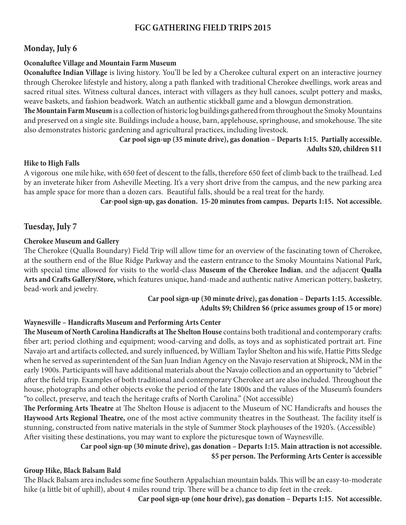# **FGC GATHERING FIELD TRIPS 2015**

## **Monday, July 6**

### **Oconaluftee Village and Mountain Farm Museum**

**Oconaluftee Indian Village** is living history. You'll be led by a Cherokee cultural expert on an interactive journey through Cherokee lifestyle and history, along a path flanked with traditional Cherokee dwellings, work areas and sacred ritual sites. Witness cultural dances, interact with villagers as they hull canoes, sculpt pottery and masks, weave baskets, and fashion beadwork. Watch an authentic stickball game and a blowgun demonstration.

**The Mountain Farm Museum** is a collection of historic log buildings gathered from throughout the Smoky Mountains and preserved on a single site. Buildings include a house, barn, applehouse, springhouse, and smokehouse. The site also demonstrates historic gardening and agricultural practices, including livestock.

> **Car pool sign-up (35 minute drive), gas donation – Departs 1:15. Partially accessible. Adults \$20, children \$11**

### **Hike to High Falls**

A vigorous one mile hike, with 650 feet of descent to the falls, therefore 650 feet of climb back to the trailhead. Led by an inveterate hiker from Asheville Meeting. It's a very short drive from the campus, and the new parking area has ample space for more than a dozen cars. Beautiful falls, should be a real treat for the hardy.

**Car-pool sign-up, gas donation. 15-20 minutes from campus. Departs 1:15. Not accessible.**

## **Tuesday, July 7**

### **Cherokee Museum and Gallery**

The Cherokee (Qualla Boundary) Field Trip will allow time for an overview of the fascinating town of Cherokee, at the southern end of the Blue Ridge Parkway and the eastern entrance to the Smoky Mountains National Park, with special time allowed for visits to the world-class **Museum of the Cherokee Indian**, and the adjacent **Qualla Arts and Crafts Gallery/Store,** which features unique, hand-made and authentic native American pottery, basketry, bead-work and jewelry.

### **Car pool sign-up (30 minute drive), gas donation – Departs 1:15. Accessible. Adults \$9; Children \$6 (price assumes group of 15 or more)**

### **Waynesville – Handicrafts Museum and Performing Arts Center**

**The Museum of North Carolina Handicrafts at The Shelton House** contains both traditional and contemporary crafts: fiber art; period clothing and equipment; wood-carving and dolls, as toys and as sophisticated portrait art. Fine Navajo art and artifacts collected, and surely influenced, by William Taylor Shelton and his wife, Hattie Pitts Sledge when he served as superintendent of the San Juan Indian Agency on the Navajo reservation at Shiprock, NM in the early 1900s. Participants will have additional materials about the Navajo collection and an opportunity to "debrief " after the field trip. Examples of both traditional and contemporary Cherokee art are also included. Throughout the house, photographs and other objects evoke the period of the late 1800s and the values of the Museum's founders "to collect, preserve, and teach the heritage crafts of North Carolina." (Not accessible)

**The Performing Arts Theatre** at The Shelton House is adjacent to the Museum of NC Handicrafts and houses the **Haywood Arts Regional Theatre,** one of the most active community theatres in the Southeast. The facility itself is stunning, constructed from native materials in the style of Summer Stock playhouses of the 1920's. (Accessible) After visiting these destinations, you may want to explore the picturesque town of Waynesville.

# **Car pool sign-up (30 minute drive), gas donation – Departs 1:15. Main attraction is not accessible. \$5 per person. The Performing Arts Center is accessible**

#### **Group Hike, Black Balsam Bald**

The Black Balsam area includes some fine Southern Appalachian mountain balds. This will be an easy-to-moderate hike (a little bit of uphill), about 4 miles round trip. There will be a chance to dip feet in the creek.

**Car pool sign-up (one hour drive), gas donation – Departs 1:15. Not accessible.**